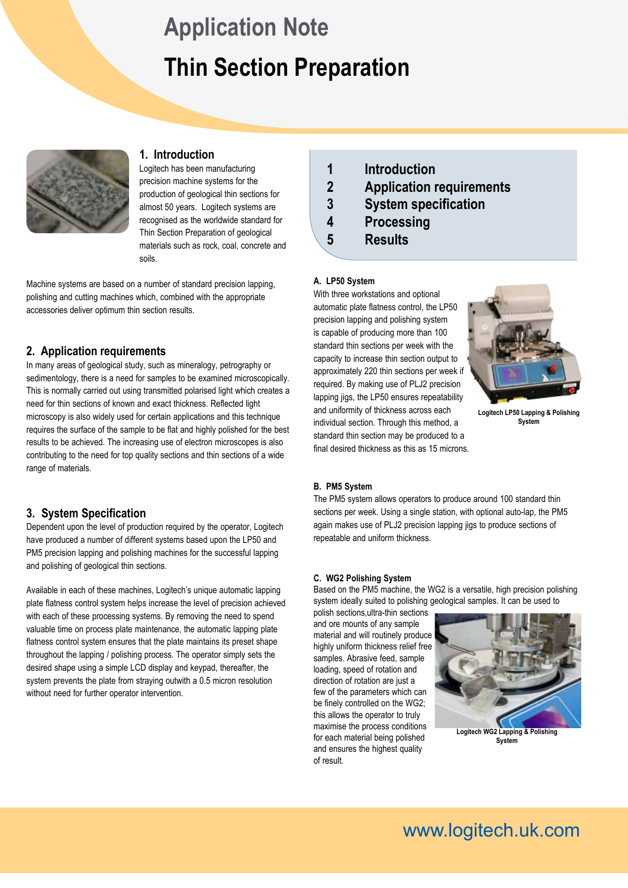# **Thin Section Preparation Application Note**



# **1. Introduction**

Logitech has been manufacturing precision machine systems for the production of geological thin sections for almost 50 years. Logitech systems are recognised as the worldwide standard for Thin Section Preparation of geological materials such as rock, coal, concrete and soils.

Machine systems are based on a number of standard precision lapping, polishing and cutting machines which, combined with the appropriate accessories deliver optimum thin section results.

# **2. Application requirements**

In many areas of geological study, such as mineralogy, petrography or sedimentology, there is a need for samples to be examined microscopically. This is normally carried out using transmitted polarised light which creates a need for thin sections of known and exact thickness. Reflected light microscopy is also widely used for certain applications and this technique requires the surface of the sample to be flat and highly polished for the best results to be achieved. The increasing use of electron microscopes is also contributing to the need for top quality sections and thin sections of a wide range of materials.

## **3. System Specification**

Dependent upon the level of production required by the operator, Logitech have produced a number of different systems based upon the LP50 and PM5 precision lapping and polishing machines for the successful lapping and polishing of geological thin sections.

Available in each of these machines, Logitech's unique automatic lapping plate flatness control system helps increase the level of precision achieved with each of these processing systems. By removing the need to spend valuable time on process plate maintenance, the automatic lapping plate flatness control system ensures that the plate maintains its preset shape throughout the lapping / polishing process. The operator simply sets the desired shape using a simple LCD display and keypad, thereafter, the system prevents the plate from straying outwith a 0.5 micron resolution without need for further operator intervention.

- **1 Introduction**
- **2 Application requirements**
- **3 System specification**
- **4 Processing**
- **5 Results**

## **A. LP50 System**

With three workstations and optional automatic plate flatness control, the LP50 precision lapping and polishing system is capable of producing more than 100 standard thin sections per week with the capacity to increase thin section output to approximately 220 thin sections per week if required. By making use of PLJ2 precision lapping jigs, the LP50 ensures repeatability and uniformity of thickness across each individual section. Through this method, a standard thin section may be produced to a final desired thickness as this as 15 microns.



**Logitech LP50 Lapping & Polishing System**

## **B. PM5 System**

The PM5 system allows operators to produce around 100 standard thin sections per week. Using a single station, with optional auto-lap, the PM5 again makes use of PLJ2 precision lapping jigs to produce sections of repeatable and uniform thickness.

#### **C. WG2 Polishing System**

Based on the PM5 machine, the WG2 is a versatile, high precision polishing system ideally suited to polishing geological samples. It can be used to

polish sections,ultra-thin sections and ore mounts of any sample material and will routinely produce highly uniform thickness relief free samples. Abrasive feed, sample loading, speed of rotation and direction of rotation are just a few of the parameters which can be finely controlled on the WG2; this allows the operator to truly maximise the process conditions for each material being polished and ensures the highest quality of result.



**Logitech WG2 Lapping & Polishing System**